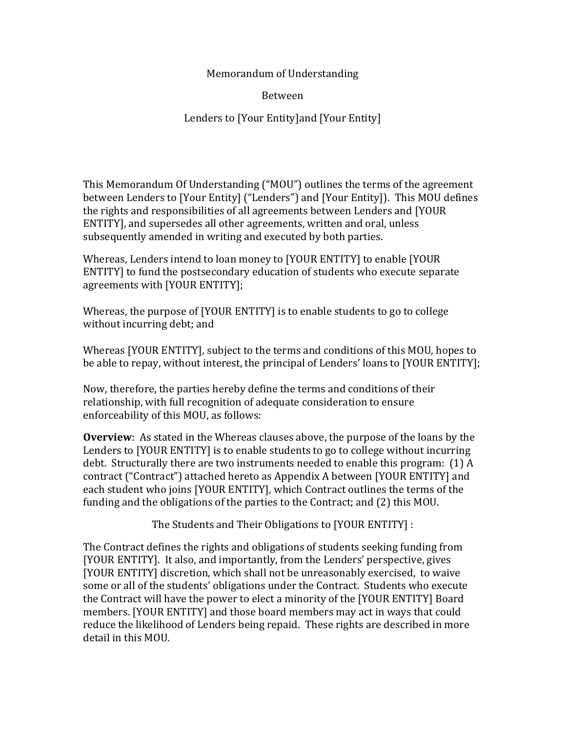## Memorandum of Understanding

Between

Lenders to [Your Entity] and [Your Entity]

This Memorandum Of Understanding ("MOU") outlines the terms of the agreement between Lenders to [Your Entity] ("Lenders") and [Your Entity]). This MOU defines the rights and responsibilities of all agreements between Lenders and [YOUR] ENTITY], and supersedes all other agreements, written and oral, unless subsequently amended in writing and executed by both parties.

Whereas, Lenders intend to loan money to [YOUR ENTITY] to enable [YOUR ENTITY] to fund the postsecondary education of students who execute separate agreements with [YOUR ENTITY];

Whereas, the purpose of [YOUR ENTITY] is to enable students to go to college without incurring debt; and

Whereas [YOUR ENTITY], subject to the terms and conditions of this MOU, hopes to be able to repay, without interest, the principal of Lenders' loans to [YOUR ENTITY];

Now, therefore, the parties hereby define the terms and conditions of their relationship, with full recognition of adequate consideration to ensure enforceability of this MOU, as follows:

**Overview**: As stated in the Whereas clauses above, the purpose of the loans by the Lenders to [YOUR ENTITY] is to enable students to go to college without incurring debt. Structurally there are two instruments needed to enable this program:  $(1)$  A contract ("Contract") attached hereto as Appendix A between [YOUR ENTITY] and each student who joins [YOUR ENTITY], which Contract outlines the terms of the funding and the obligations of the parties to the Contract; and (2) this MOU.

The Students and Their Obligations to [YOUR ENTITY] :

The Contract defines the rights and obligations of students seeking funding from [YOUR ENTITY]. It also, and importantly, from the Lenders' perspective, gives [YOUR ENTITY] discretion, which shall not be unreasonably exercised, to waive some or all of the students' obligations under the Contract. Students who execute the Contract will have the power to elect a minority of the [YOUR ENTITY] Board members. [YOUR ENTITY] and those board members may act in ways that could reduce the likelihood of Lenders being repaid. These rights are described in more detail in this MOU.